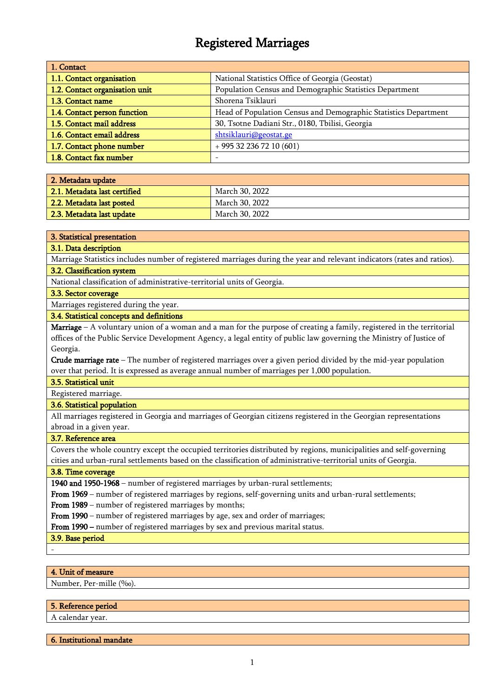# Registered Marriages

| 1. Contact                     |                                                                 |
|--------------------------------|-----------------------------------------------------------------|
| 1.1. Contact organisation      | National Statistics Office of Georgia (Geostat)                 |
| 1.2. Contact organisation unit | Population Census and Demographic Statistics Department         |
| 1.3. Contact name              | Shorena Tsiklauri                                               |
| 1.4. Contact person function   | Head of Population Census and Demographic Statistics Department |
| 1.5. Contact mail address      | 30, Tsotne Dadiani Str., 0180, Tbilisi, Georgia                 |
| 1.6. Contact email address     | shtsiklauri@geostat.ge                                          |
| 1.7. Contact phone number      | $+995322367210(601)$                                            |
| 1.8. Contact fax number        |                                                                 |

| 2. Metadata update           |                |
|------------------------------|----------------|
| 2.1. Metadata last certified | March 30, 2022 |
| 2.2. Metadata last posted    | March 30, 2022 |
| 2.3. Metadata last update    | March 30, 2022 |

#### 3. Statistical presentation

#### 3.1. Data description

Marriage Statistics includes number of registered marriages during the year and relevant indicators (rates and ratios). 3.2. Classification system

#### National classification of administrative-territorial units of Georgia.

## 3.3. Sector coverage

## Marriages registered during the year.

## 3.4. Statistical concepts and definitions

**Marriage** – A voluntary union of a woman and a man for the purpose of creating a family, registered in the territorial offices of the Public Service Development Agency, a legal entity of public law governing the Ministry of Justice of Georgia.

**Crude marriage rate** – The number of registered marriages over a given period divided by the mid-year population over that period. It is expressed as average annual number of marriages per 1,000 population.

#### 3.5. Statistical unit

#### Registered marriage.

#### 3.6. Statistical population

All marriages registered in Georgia and marriages of Georgian citizens registered in the Georgian representations abroad in a given year.

#### 3.7. Reference area

Covers the whole country except the occupied territories distributed by regions, municipalities and self-governing cities and urban-rural settlements based on the classification of administrative-territorial units of Georgia.

#### 3.8. Time coverage

1940 and 1950-1968 – number of registered marriages by urban-rural settlements;

From 1969 – number of registered marriages by regions, self-governing units and urban-rural settlements;

From 1989 – number of registered marriages by months;

From 1990 – number of registered marriages by age, sex and order of marriages;

From 1990 – number of registered marriages by sex and previous marital status.

3.9. Base period

-

## 4. Unit of measure

Number, Per-mille (‰).

#### 5. Reference period

A calendar year.

6. Institutional mandate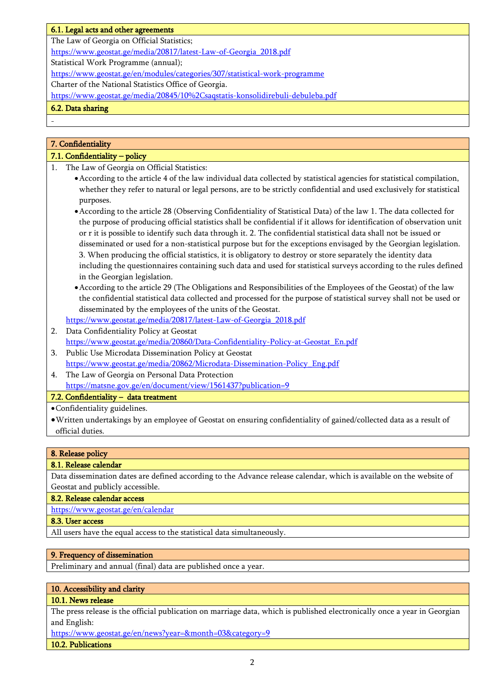## 6.1. Legal acts and other agreements

The Law of Georgia on Official Statistics;

[https://www.geostat.ge/media/20817/latest-Law-of-Georgia\\_2018.pdf](https://www.geostat.ge/media/20817/latest-Law-of-Georgia_2018.pdf)

Statistical Work Programme (annual);

<https://www.geostat.ge/en/modules/categories/307/statistical-work-programme>

Charter of the National Statistics Office of Georgia.

https://www.geostat.ge/media/20845/10%2Csaqstatis-konsolidirebuli-debuleba.pdf

## 6.2. Data sharing

-

## 7. Confidentiality

## 7.1. Confidentiality – policy

- 1. The Law of Georgia on Official Statistics:
	- •According to the article 4 of the law individual data collected by statistical agencies for statistical compilation, whether they refer to natural or legal persons, are to be strictly confidential and used exclusively for statistical purposes.
	- •According to the article 28 (Observing Confidentiality of Statistical Data) of the law 1. The data collected for the purpose of producing official statistics shall be confidential if it allows for identification of observation unit or r it is possible to identify such data through it. 2. The confidential statistical data shall not be issued or disseminated or used for a non-statistical purpose but for the exceptions envisaged by the Georgian legislation. 3. When producing the official statistics, it is obligatory to destroy or store separately the identity data including the questionnaires containing such data and used for statistical surveys according to the rules defined in the Georgian legislation.
	- •According to the article 29 (The Obligations and Responsibilities of the Employees of the Geostat) of the law the confidential statistical data collected and processed for the purpose of statistical survey shall not be used or disseminated by the employees of the units of the Geostat.
	- [https://www.geostat.ge/media/20817/latest-Law-of-Georgia\\_2018.pdf](https://www.geostat.ge/media/20817/latest-Law-of-Georgia_2018.pdf)
- 2. Data Confidentiality Policy at Geostat [https://www.geostat.ge/media/20860/Data-Confidentiality-Policy-at-Geostat\\_En.pdf](https://www.geostat.ge/media/20860/Data-Confidentiality-Policy-at-Geostat_En.pdf)
- 3. Public Use Microdata Dissemination Policy at Geostat [https://www.geostat.ge/media/20862/Microdata-Dissemination-Policy\\_Eng.pdf](https://www.geostat.ge/media/20862/Microdata-Dissemination-Policy_Eng.pdf)
- 4. The Law of Georgia on Personal Data Protection https://matsne.gov.ge/en/document/view/1561437?publication=9

## 7.2. Confidentiality – data treatment

•Confidentiality guidelines.

•Written undertakings by an employee of Geostat on ensuring confidentiality of gained/collected data as a result of official duties.

## 8. Release policy

#### 8.1. Release calendar

Data dissemination dates are defined according to the Advance release calendar, which is available on the website of Geostat and publicly accessible.

#### 8.2. Release calendar access

<https://www.geostat.ge/en/calendar>

#### 8.3. User access

All users have the equal access to the statistical data simultaneously.

#### 9. Frequency of dissemination

Preliminary and annual (final) data are published once a year.

#### 10. Accessibility and clarity

## 10.1. News release

The press release is the official publication on marriage data, which is published electronically once a year in Georgian and English:

<https://www.geostat.ge/en/news?year=&month=03&category=9>

#### 10.2. Publications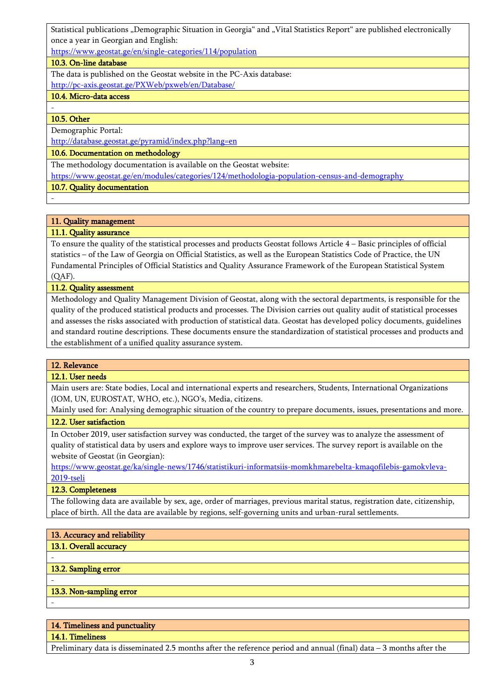Statistical publications "Demographic Situation in Georgia" and "Vital Statistics Report" are published electronically once a year in Georgian and English:

<https://www.geostat.ge/en/single-categories/114/population>

## 10.3. On-line database

The data is published on the Geostat website in the PC-Axis database: <http://pc-axis.geostat.ge/PXWeb/pxweb/en/Database/>

## 10.4. Micro-data access

10.5. Other

-

-

Demographic Portal:

http://database.geostat.ge/pyramid/index.php?lang=en

## 10.6. Documentation on methodology

The methodology documentation is available on the Geostat website:

<https://www.geostat.ge/en/modules/categories/124/methodologia-population-census-and-demography>

10.7. Quality documentation

## 11. Quality management

## 11.1. Quality assurance

To ensure the quality of the statistical processes and products Geostat follows Article 4 – Basic principles of official statistics – of the Law of Georgia on Official Statistics, as well as the European Statistics Code of Practice, the UN Fundamental Principles of Official Statistics and Quality Assurance Framework of the European Statistical System (QAF).

## 11.2. Quality assessment

Methodology and Quality Management Division of Geostat, along with the sectoral departments, is responsible for the quality of the produced statistical products and processes. The Division carries out quality audit of statistical processes and assesses the risks associated with production of statistical data. Geostat has developed policy documents, guidelines and standard routine descriptions. These documents ensure the standardization of statistical processes and products and the establishment of a unified quality assurance system.

## 12. Relevance

## 12.1. User needs

Main users are: State bodies, Local and international experts and researchers, Students, International Organizations (IOM, UN, EUROSTAT, WHO, etc.), NGO's, Media, citizens.

Mainly used for: Analysing demographic situation of the country to prepare documents, issues, presentations and more. 12.2. User satisfaction

In October 2019, user satisfaction survey was conducted, the target of the survey was to analyze the assessment of quality of statistical data by users and explore ways to improve user services. The survey report is available on the website of Geostat (in Georgian):

[https://www.geostat.ge/ka/single-news/1746/statistikuri-informatsiis-momkhmarebelta-kmaqofilebis-gamokvleva-](https://www.geostat.ge/ka/single-news/1746/statistikuri-informatsiis-momkhmarebelta-kmaqofilebis-gamokvleva-2019-tseli)[2019-tseli](https://www.geostat.ge/ka/single-news/1746/statistikuri-informatsiis-momkhmarebelta-kmaqofilebis-gamokvleva-2019-tseli)

## 12.3. Completeness

The following data are available by sex, age, order of marriages, previous marital status, registration date, citizenship, place of birth. All the data are available by regions, self-governing units and urban-rural settlements.

## 13. Accuracy and reliability 13.1. Overall accuracy - 13.2. Sampling error - 13.3. Non-sampling error -

## 14. Timeliness and punctuality

14.1. Timeliness

Preliminary data is disseminated 2.5 months after the reference period and annual (final) data – 3 months after the